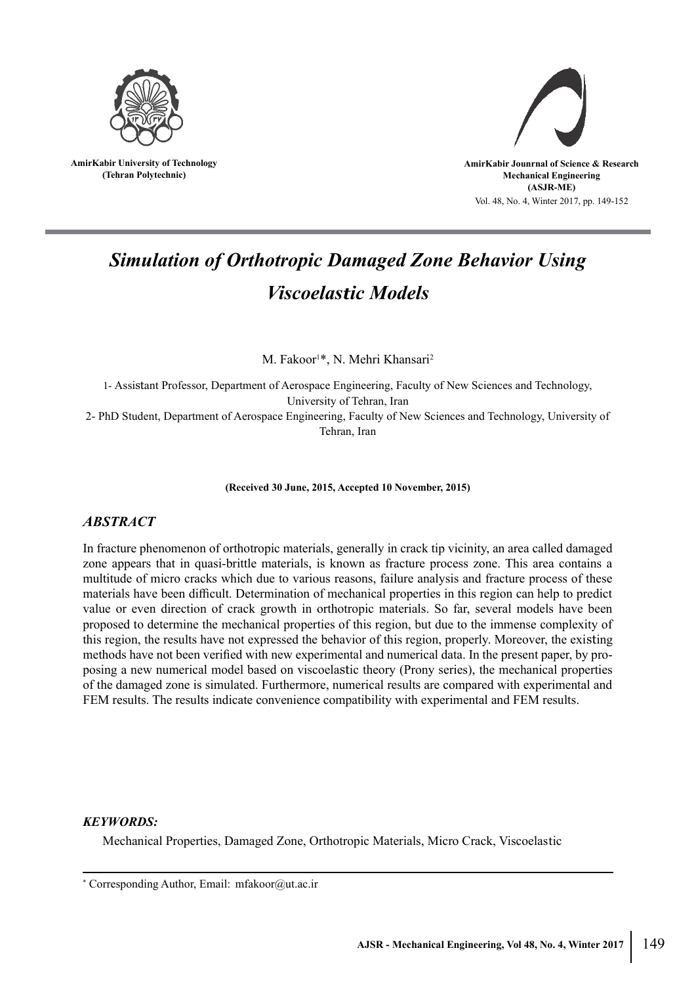

**AmirKabir University of Technology (Tehran Polytechnic)**



# *Simulation of Orthotropic Damaged Zone Behavior Using Viscoelastic Models*

M. Fakoor<sup>1\*</sup>, N. Mehri Khansari<sup>2</sup>

1- Assistant Professor, Department of Aerospace Engineering, Faculty of New Sciences and Technology, University of Tehran, Iran 2- PhD Student, Department of Aerospace Engineering, Faculty of New Sciences and Technology, University of Tehran, Iran

**(Received 30 June, 2015, Accepted 10 November, 2015)**

# *ABSTRACT*

In fracture phenomenon of orthotropic materials, generally in crack tip vicinity, an area called damaged zone appears that in quasi-brittle materials, is known as fracture process zone. This area contains a multitude of micro cracks which due to various reasons, failure analysis and fracture process of these materials have been difficult. Determination of mechanical properties in this region can help to predict value or even direction of crack growth in orthotropic materials. So far, several models have been proposed to determine the mechanical properties of this region, but due to the immense complexity of this region, the results have not expressed the behavior of this region, properly. Moreover, the existing methods have not been verified with new experimental and numerical data. In the present paper, by proposing a new numerical model based on viscoelastic theory (Prony series), the mechanical properties of the damaged zone is simulated. Furthermore, numerical results are compared with experimental and FEM results. The results indicate convenience compatibility with experimental and FEM results.

### *KEYWORDS:*

Mechanical Properties, Damaged Zone, Orthotropic Materials, Micro Crack, Viscoelastic

<sup>\*</sup> Corresponding Author, Email: mfakoor@ut.ac.ir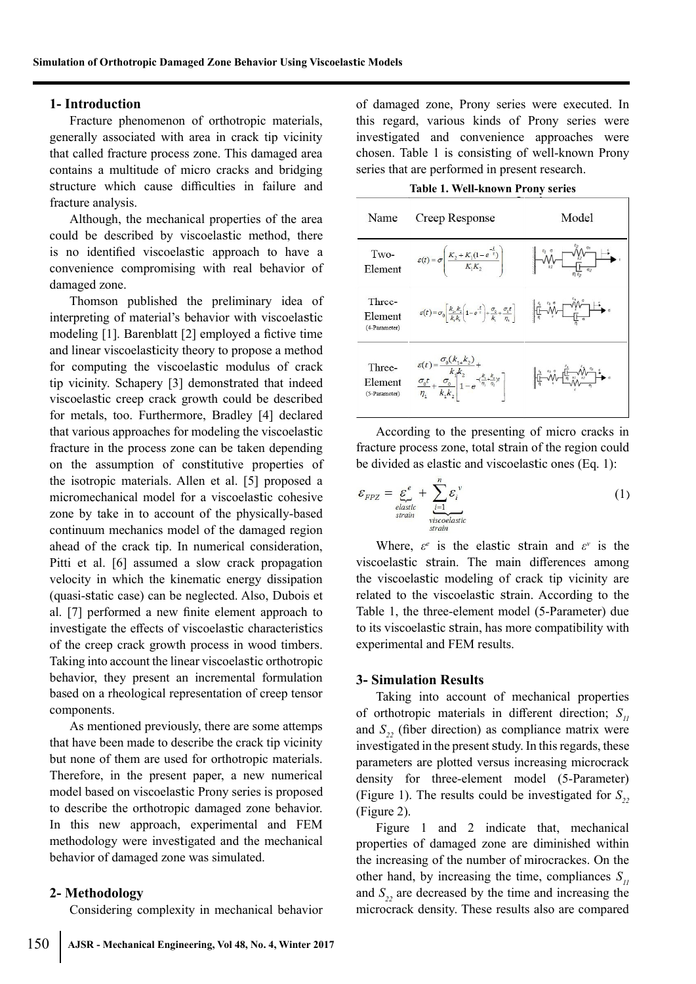#### **1- Introduction**

Fracture phenomenon of orthotropic materials, generally associated with area in crack tip vicinity that called fracture process zone. This damaged area contains a multitude of micro cracks and bridging structure which cause difficulties in failure and fracture analysis.

Although, the mechanical properties of the area could be described by viscoelastic method, there is no identified viscoelastic approach to have a convenience compromising with real behavior of damaged zone.

Thomson published the preliminary idea of interpreting of material's behavior with viscoelastic modeling [1]. Barenblatt [2] employed a fictive time and linear viscoelasticity theory to propose a method for computing the viscoelastic modulus of crack tip vicinity. Schapery [3] demonstrated that indeed viscoelastic creep crack growth could be described for metals, too. Furthermore, Bradley [4] declared that various approaches for modeling the viscoelastic fracture in the process zone can be taken depending on the assumption of constitutive properties of the isotropic materials. Allen et al. [5] proposed a micromechanical model for a viscoelastic cohesive zone by take in to account of the physically-based continuum mechanics model of the damaged region ahead of the crack tip. In numerical consideration, Pitti et al. [6] assumed a slow crack propagation velocity in which the kinematic energy dissipation (quasi-static case) can be neglected. Also, Dubois et al. [7] performed a new finite element approach to investigate the effects of viscoelastic characteristics of the creep crack growth process in wood timbers. Taking into account the linear viscoelastic orthotropic behavior, they present an incremental formulation based on a rheological representation of creep tensor components.

As mentioned previously, there are some attemps that have been made to describe the crack tip vicinity but none of them are used for orthotropic materials. Therefore, in the present paper, a new numerical model based on viscoelastic Prony series is proposed to describe the orthotropic damaged zone behavior. In this new approach, experimental and FEM methodology were investigated and the mechanical behavior of damaged zone was simulated.

#### **2- Methodology**

Considering complexity in mechanical behavior

of damaged zone, Prony series were executed. In this regard, various kinds of Prony series were investigated and convenience approaches were chosen. Table 1 is consisting of well-known Prony series that are performed in present research.

| Name                               | Creep Response                                                                                                                                                                                                                                                                                 | Model                                                                                                                                                                                                                                                                                                                                               |
|------------------------------------|------------------------------------------------------------------------------------------------------------------------------------------------------------------------------------------------------------------------------------------------------------------------------------------------|-----------------------------------------------------------------------------------------------------------------------------------------------------------------------------------------------------------------------------------------------------------------------------------------------------------------------------------------------------|
| Two-<br>Element                    | $\varepsilon(t) = \sigma \left  \frac{K_2 + K_1(1 - e^{-\tau})}{K_1 K_2} \right $                                                                                                                                                                                                              | $\mathbf{k}_2$                                                                                                                                                                                                                                                                                                                                      |
| Three-<br>Element<br>(4-Parameter) | $\varepsilon(t) = \sigma_0 \left[ \frac{k_{1*}k_2}{k_1k_1} \left( 1 - e^{-\frac{t}{\varepsilon}} \right) + \frac{\sigma_0}{k} + \frac{\sigma_0 t}{\eta_1} \right] \qquad \qquad \left[ \frac{1}{\eta} - \frac{\sqrt[4]{\eta}}{\sqrt[4]{\eta}} - \frac{\sqrt[4]{\eta}}{\sqrt[4]{\eta}} \right]$ |                                                                                                                                                                                                                                                                                                                                                     |
| Three-<br>Element<br>(5-Parameter) | $\label{eq:epsilon} \begin{aligned} &\varepsilon(t)=\frac{\sigma_0(k_1,k_2)}{k_1k_2}+\\ &\frac{\sigma_0t}{\eta_1}+\frac{\sigma_0}{k_1k_2}\Bigg 1-e^{-\langle\frac{k_1+k_2}{\eta_1-\eta_2}\rangle t}\Bigg] \end{aligned}$                                                                       | $\begin{picture}(180,10) \put(0,0){\line(1,0){10}} \put(10,0){\line(1,0){10}} \put(10,0){\line(1,0){10}} \put(10,0){\line(1,0){10}} \put(10,0){\line(1,0){10}} \put(10,0){\line(1,0){10}} \put(10,0){\line(1,0){10}} \put(10,0){\line(1,0){10}} \put(10,0){\line(1,0){10}} \put(10,0){\line(1,0){10}} \put(10,0){\line(1,0){10}} \put(10,0){\line($ |

According to the presenting of micro cracks in fracture process zone, total strain of the region could be divided as elastic and viscoelastic ones (Eq. 1):

$$
\mathcal{E}_{FPZ} = \underbrace{\mathcal{E}}_{\substack{elastic \\ strain}}^e + \underbrace{\sum_{i=1}^n \mathcal{E}_i^v}_{\substack{viscoelastic \\ strain}} \tag{1}
$$

Where,  $\varepsilon^e$  is the elastic strain and  $\varepsilon^v$  is the viscoelastic strain. The main differences among the viscoelastic modeling of crack tip vicinity are related to the viscoelastic strain. According to the Table 1, the three-element model (5-Parameter) due to its viscoelastic strain, has more compatibility with experimental and FEM results.

#### **3- Simulation Results**

Taking into account of mechanical properties of orthotropic materials in different direction; *S<sup>11</sup>* and  $S<sub>22</sub>$  (fiber direction) as compliance matrix were investigated in the present study. In this regards, these parameters are plotted versus increasing microcrack density for three-element model (5-Parameter) (Figure 1). The results could be investigated for  $S_{22}$ (Figure 2).

Figure 1 and 2 indicate that, mechanical properties of damaged zone are diminished within the increasing of the number of mirocrackes. On the other hand, by increasing the time, compliances  $S_{ij}$ and  $S<sub>2</sub>$ <sup>2</sup> are decreased by the time and increasing the microcrack density. These results also are compared